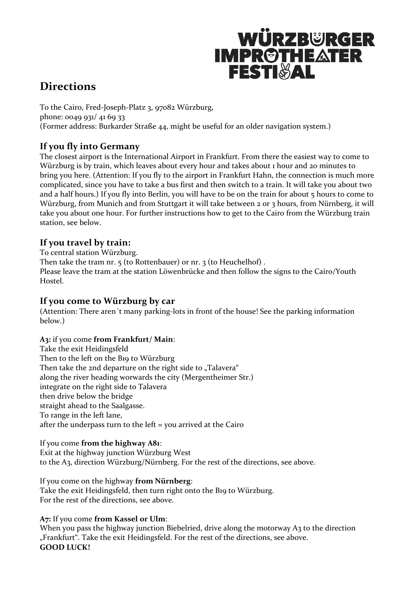# WÜRZBURGER **IMPROTHEATER**

# **Directions**

To the Cairo, Fred-Joseph-Platz 3, 97082 Würzburg, phone: 0049 931/ 41 69 33 (Former address: Burkarder Straße 44, might be useful for an older navigation system.)

# **If you fly into Germany**

The closest airport is the International Airport in Frankfurt. From there the easiest way to come to Würzburg is by train, which leaves about every hour and takes about 1 hour and 20 minutes to bring you here. (Attention: If you fly to the airport in Frankfurt Hahn, the connection is much more complicated, since you have to take a bus first and then switch to a train. It will take you about two and a half hours.) If you fly into Berlin, you will have to be on the train for about 5 hours to come to Würzburg, from Munich and from Stuttgart it will take between 2 or 3 hours, from Nürnberg, it will take you about one hour. For further instructions how to get to the Cairo from the Würzburg train station, see below.

## **If you travel by train:**

To central station Würzburg. Then take the tram nr. 5 (to Rottenbauer) or nr. 3 (to Heuchelhof). Please leave the tram at the station Löwenbrücke and then follow the signs to the Cairo/Youth Hostel.

## **If you come to Würzburg by car**

(Attention: There aren´t many parking-lots in front of the house! See the parking information below.)

## **A3:** if you come **from Frankfurt/ Main**:

Take the exit Heidingsfeld Then to the left on the B19 to Würzburg Then take the 2nd departure on the right side to "Talavera" along the river heading worwards the city (Mergentheimer Str.) integrate on the right side to Talavera then drive below the bridge straight ahead to the Saalgasse. To range in the left lane, after the underpass turn to the left = you arrived at the Cairo

#### If you come **from the highway A81**:

Exit at the highway junction Würzburg West to the A3, direction Würzburg/Nürnberg. For the rest of the directions, see above.

#### If you come on the highway **from Nürnberg**:

Take the exit Heidingsfeld, then turn right onto the B19 to Würzburg. For the rest of the directions, see above.

**A7:** If you come **from Kassel or Ulm**:

When you pass the highway junction Biebelried, drive along the motorway A3 to the direction "Frankfurt". Take the exit Heidingsfeld. For the rest of the directions, see above. **GOOD LUCK!**